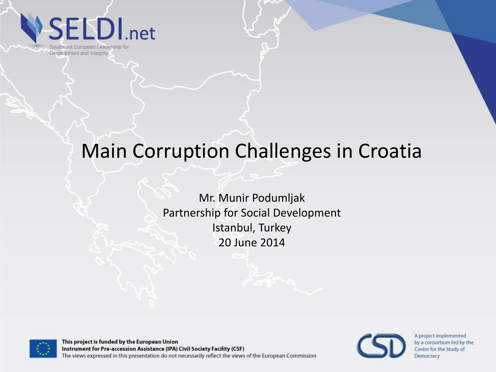**SELDI**.net

Southeast European Leadership for Development and Integrity

#### Main Corruption Challenges in Croatia

Mr. Munir Podumljak Partnership for Social Development Istanbul, Turkey 20 June 2014



This project is funded by the European Union Instrument for Pre-accession Assistance (IPA) Civil Society Facility (CSF) The views expressed in this presentation do not necessarily reflect the views of the European Commission

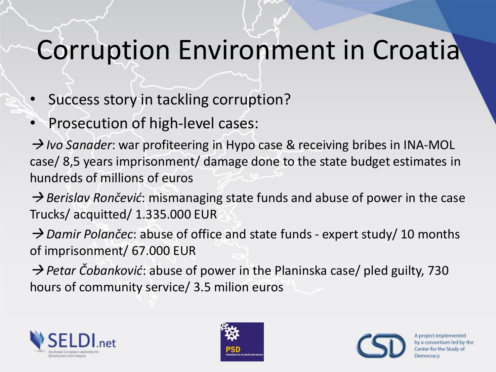#### Corruption Environment in Croatia

- Success story in tackling corruption?
- Prosecution of high-level cases:

→ Ivo Sanader: war profiteering in Hypo case & receiving bribes in INA-MOL case/ 8,5 years imprisonment/ damage done to the state budget estimates in hundreds of millions of euros

→ *Berislav Rončević*: mismanaging state funds and abuse of power in the case Trucks/ acquitted/ 1.335.000 EUR

→ *Damir Polančec*: abuse of office and state funds - expert study/ 10 months of imprisonment/ 67.000 EUR

→ Petar Čobanković: abuse of power in the Planinska case/ pled guilty, 730 hours of community service/ 3.5 milion euros





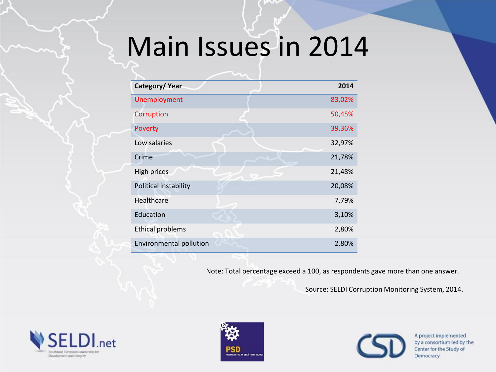# Main Issues in 2014

| Category/Year           | 2014   |
|-------------------------|--------|
| Unemployment            | 83,02% |
| Corruption              | 50,45% |
| Poverty                 | 39,36% |
| Low salaries            | 32,97% |
| Crime                   | 21,78% |
| High prices             | 21,48% |
| Political instability   | 20,08% |
| Healthcare              | 7,79%  |
| Education               | 3,10%  |
| <b>Ethical problems</b> | 2,80%  |
| Environmental pollution | 2,80%  |

Note: Total percentage exceed a 100, as respondents gave more than one answer.

Source: SELDI Corruption Monitoring System, 2014.





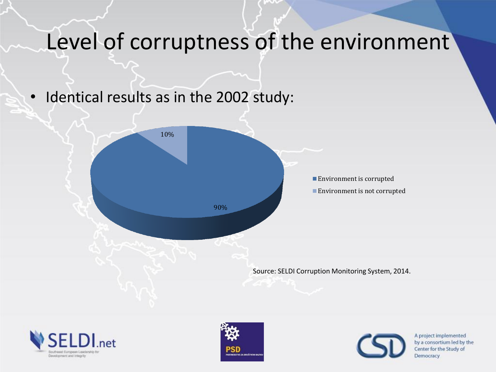#### Level of corruptness of the environment

• Identical results as in the 2002 study:







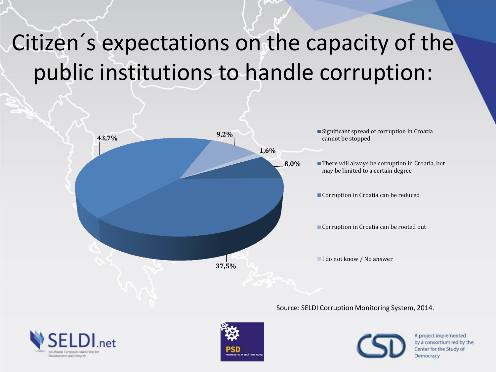#### Citizen´s expectations on the capacity of the public institutions to handle corruption:



Source: SELDI Corruption Monitoring System, 2014.





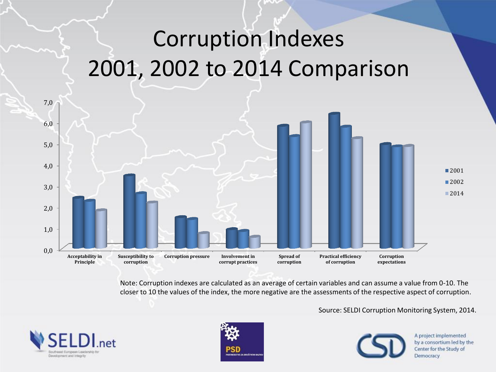#### Corruption Indexes 2001, 2002 to 2014 Comparison



Note: Corruption indexes are calculated as an average of certain variables and can assume a value from 0-10. The closer to 10 the values of the index, the more negative are the assessments of the respective aspect of corruption.

Source: SELDI Corruption Monitoring System, 2014.





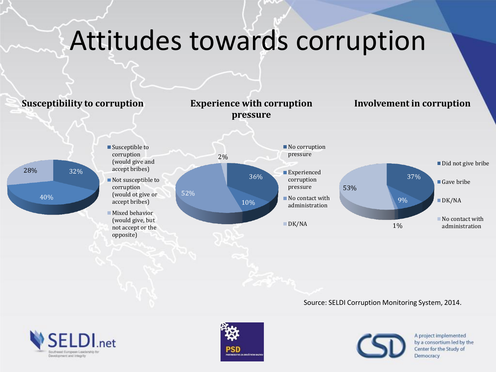# Attitudes towards corruption



Source: SELDI Corruption Monitoring System, 2014.





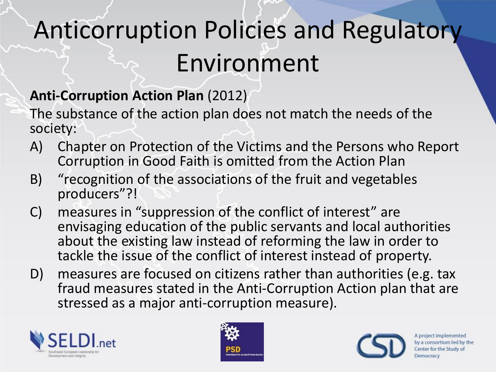# Anticorruption Policies and Regulatory Environment

#### **Anti-Corruption Action Plan** (2012)

The substance of the action plan does not match the needs of the society:

- A) Chapter on Protection of the Victims and the Persons who Report Corruption in Good Faith is omitted from the Action Plan
- B) "recognition of the associations of the fruit and vegetables producers"?!
- C) measures in "suppression of the conflict of interest" are envisaging education of the public servants and local authorities about the existing law instead of reforming the law in order to tackle the issue of the conflict of interest instead of property.
- D) measures are focused on citizens rather than authorities (e.g. tax fraud measures stated in the Anti-Corruption Action plan that are stressed as a major anti-corruption measure).





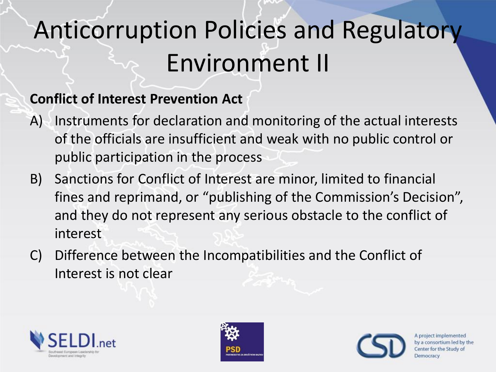# Anticorruption Policies and Regulatory Environment II

#### **Conflict of Interest Prevention Act**

- A) Instruments for declaration and monitoring of the actual interests of the officials are insufficient and weak with no public control or public participation in the process
- B) Sanctions for Conflict of Interest are minor, limited to financial fines and reprimand, or "publishing of the Commission's Decision", and they do not represent any serious obstacle to the conflict of interest
- C) Difference between the Incompatibilities and the Conflict of Interest is not clear





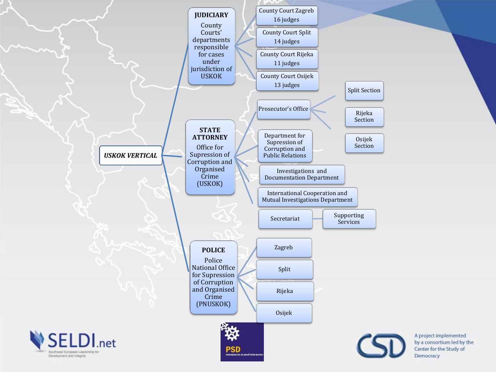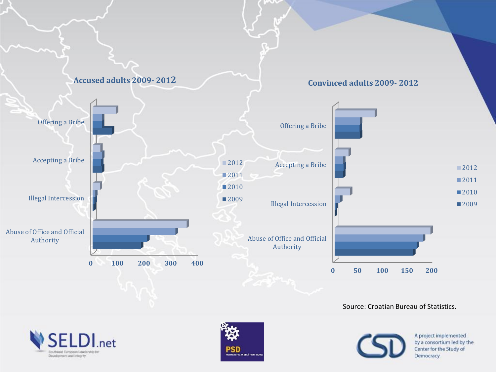

Source: Croatian Bureau of Statistics.





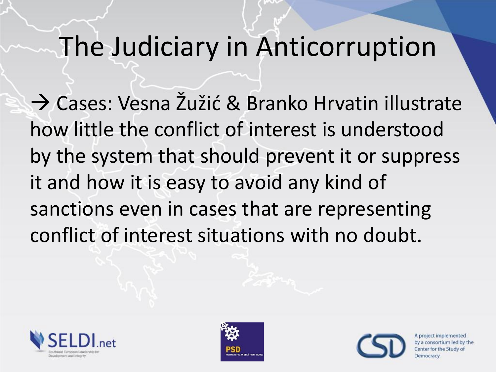#### The Judiciary in Anticorruption

→ Cases: Vesna Žužić & Branko Hrvatin illustrate how little the conflict of interest is understood by the system that should prevent it or suppress it and how it is easy to avoid any kind of sanctions even in cases that are representing conflict of interest situations with no doubt.





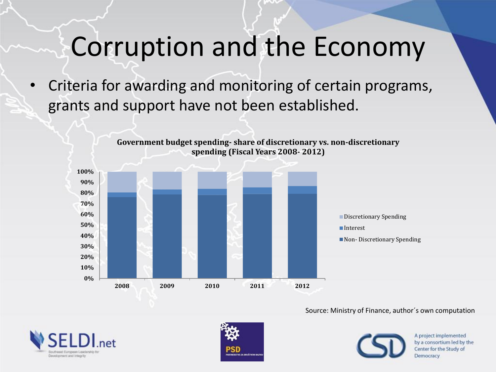#### Corruption and the Economy

• Criteria for awarding and monitoring of certain programs, grants and support have not been established.



**Government budget spending- share of discretionary vs. non-discretionary spending (Fiscal Years 2008- 2012)**

#### Source: Ministry of Finance, author´s own computation





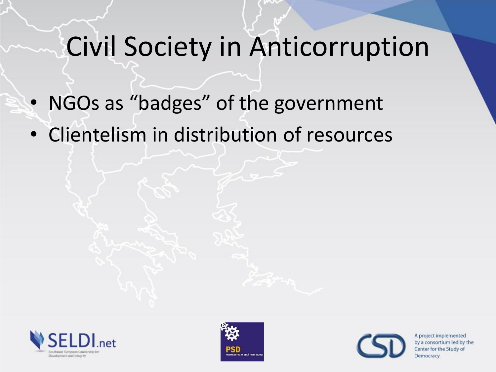## Civil Society in Anticorruption

- NGOs as "badges" of the government
- Clientelism in distribution of resources





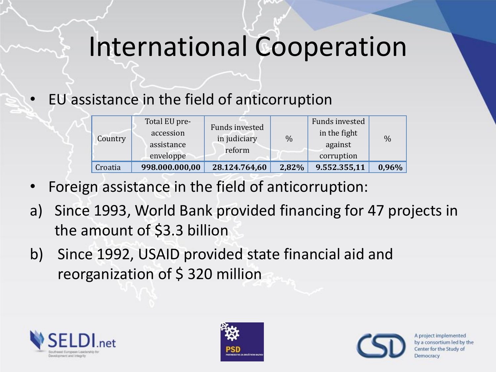#### International Cooperation

• EU assistance in the field of anticorruption

| Country | Total EU pre-<br>accession<br>assistance<br>enveloppe | <b>Funds invested</b><br>in judiciary<br>reform | $\%$  | Funds invested<br>in the fight<br>against<br>corruption | $\frac{0}{0}$ |
|---------|-------------------------------------------------------|-------------------------------------------------|-------|---------------------------------------------------------|---------------|
| Croatia | 998.000.000,00                                        | 28.124.764,60                                   | 2,82% | 9.552.355,11                                            | 0,96%         |

- Foreign assistance in the field of anticorruption:
- a) Since 1993, World Bank provided financing for 47 projects in the amount of \$3.3 billion
- b) Since 1992, USAID provided state financial aid and reorganization of \$320 million





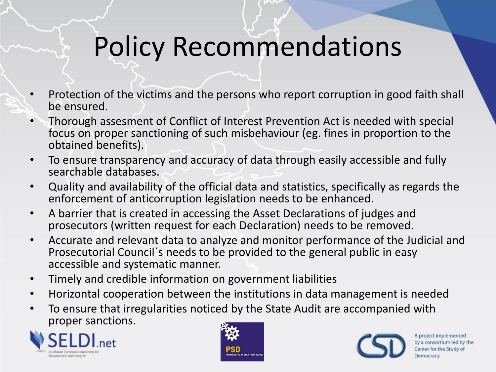## Policy Recommendations

- Protection of the victims and the persons who report corruption in good faith shall be ensured.
- Thorough assesment of Conflict of Interest Prevention Act is needed with special focus on proper sanctioning of such misbehaviour (eg. fines in proportion to the obtained benefits).
- To ensure transparency and accuracy of data through easily accessible and fully searchable databases.
- Quality and availability of the official data and statistics, specifically as regards the enforcement of anticorruption legislation needs to be enhanced.
- A barrier that is created in accessing the Asset Declarations of judges and prosecutors (written request for each Declaration) needs to be removed.
- Accurate and relevant data to analyze and monitor performance of the Judicial and Prosecutorial Council´s needs to be provided to the general public in easy accessible and systematic manner.
- Timely and credible information on government liabilities
- Horizontal cooperation between the institutions in data management is needed
- To ensure that irregularities noticed by the State Audit are accompanied with proper sanctions.